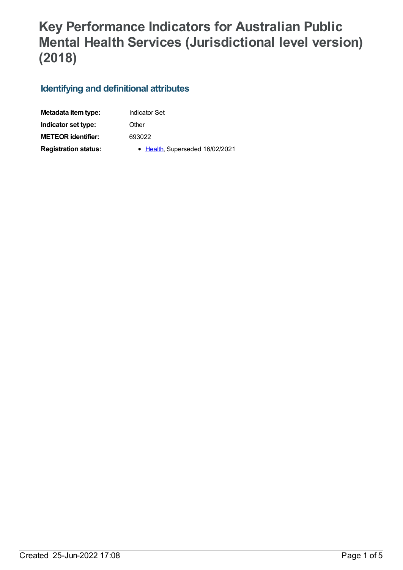## **Key Performance Indicators for Australian Public Mental Health Services (Jurisdictional level version) (2018)**

## **Identifying and definitional attributes**

| Metadata item type:         | <b>Indicator Set</b>            |
|-----------------------------|---------------------------------|
| Indicator set type:         | Other                           |
| <b>METEOR identifier:</b>   | 693022                          |
| <b>Registration status:</b> | • Health, Superseded 16/02/2021 |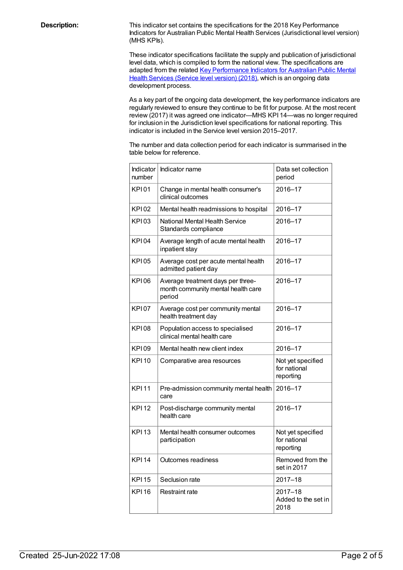**Description:** This indicator set contains the specifications for the 2018 Key Performance Indicators for Australian Public Mental Health Services (Jurisdictional level version) (MHS KPIs).

> These indicator specifications facilitate the supply and publication of jurisdictional level data, which is compiled to form the national view. The specifications are adapted from the related Key [Performance](file:///content/693108) Indicators for Australian Public Mental Health Services (Service level version) (2018), which is an ongoing data development process.

As a key part of the ongoing data development, the key performance indicators are regularly reviewed to ensure they continue to be fit for purpose. At the most recent review (2017) it was agreed one indicator—MHS KPI 14—was no longer required for inclusion in the Jurisdiction level specifications for national reporting. This indicator is included in the Service level version 2015–2017.

The number and data collection period for each indicator is summarised in the table below for reference.

| Indicator<br>number | Indicator name                                                                    | Data set collection<br>period                  |
|---------------------|-----------------------------------------------------------------------------------|------------------------------------------------|
| KPI01               | Change in mental health consumer's<br>clinical outcomes                           | 2016-17                                        |
| <b>KP102</b>        | Mental health readmissions to hospital                                            | 2016-17                                        |
| <b>KP103</b>        | National Mental Health Service<br>Standards compliance                            | 2016-17                                        |
| <b>KPI04</b>        | Average length of acute mental health<br>inpatient stay                           | 2016-17                                        |
| <b>KPI05</b>        | Average cost per acute mental health<br>admitted patient day                      | 2016-17                                        |
| KP106               | Average treatment days per three-<br>month community mental health care<br>period | 2016-17                                        |
| <b>KPI07</b>        | Average cost per community mental<br>health treatment day                         | 2016-17                                        |
| <b>KPI08</b>        | Population access to specialised<br>clinical mental health care                   | 2016-17                                        |
| KP109               | Mental health new client index                                                    | 2016-17                                        |
| <b>KPI10</b>        | Comparative area resources                                                        | Not yet specified<br>for national<br>reporting |
| <b>KPI11</b>        | Pre-admission community mental health<br>care                                     | 2016-17                                        |
| <b>KPI12</b>        | Post-discharge community mental<br>health care                                    | 2016-17                                        |
| <b>KPI13</b>        | Mental health consumer outcomes<br>participation                                  | Not yet specified<br>for national<br>reporting |
| <b>KPI14</b>        | Outcomes readiness                                                                | Removed from the<br>set in 2017                |
| <b>KPI15</b>        | Seclusion rate                                                                    | $2017 - 18$                                    |
| <b>KPI16</b>        | Restraint rate                                                                    | $2017 - 18$<br>Added to the set in<br>2018     |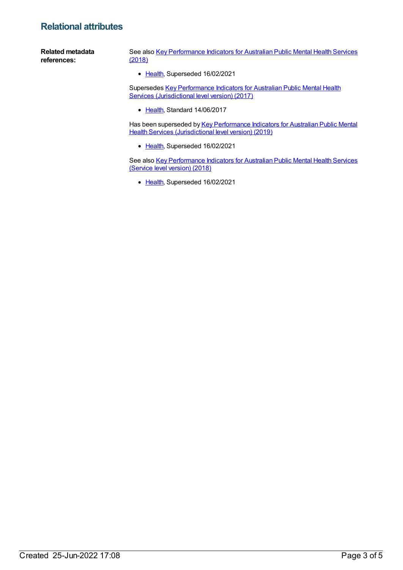## **Relational attributes**

**Related metadata references:** See also Key [Performance](https://meteor.aihw.gov.au/content/693105) Indicators for Australian Public Mental Health Services (2018) • [Health](https://meteor.aihw.gov.au/RegistrationAuthority/12), Superseded 16/02/2021

> Supersedes Key [Performance](https://meteor.aihw.gov.au/content/661511) Indicators for Australian Public Mental Health Services (Jurisdictional level version) (2017)

• [Health](https://meteor.aihw.gov.au/RegistrationAuthority/12), Standard 14/06/2017

Has been superseded by Key [Performance](https://meteor.aihw.gov.au/content/709378) Indicators for Australian Public Mental Health Services (Jurisdictional level version) (2019)

• [Health](https://meteor.aihw.gov.au/RegistrationAuthority/12), Superseded 16/02/2021

See also Key [Performance](https://meteor.aihw.gov.au/content/693108) Indicators for Australian Public Mental Health Services (Service level version) (2018)

• [Health](https://meteor.aihw.gov.au/RegistrationAuthority/12), Superseded 16/02/2021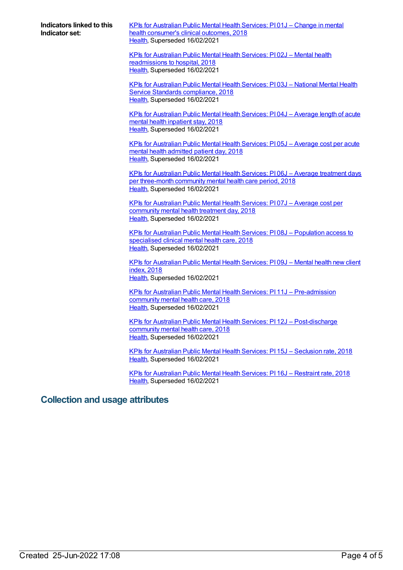**Indicators linked to this Indicator set:**

KPIs for [Australian](https://meteor.aihw.gov.au/content/692974) Public Mental Health Services: PI 01J – Change in mental health consumer's clinical outcomes, 2018 [Health](https://meteor.aihw.gov.au/RegistrationAuthority/12), Superseded 16/02/2021

KPIs for Australian Public Mental Health Services: PI 02J – Mental health [readmissions](https://meteor.aihw.gov.au/content/692976) to hospital, 2018 [Health](https://meteor.aihw.gov.au/RegistrationAuthority/12), Superseded 16/02/2021

KPIs for [Australian](https://meteor.aihw.gov.au/content/692978) Public Mental Health Services: PI 03J – National Mental Health Service Standards compliance, 2018 [Health](https://meteor.aihw.gov.au/RegistrationAuthority/12), Superseded 16/02/2021

KPIs for [Australian](https://meteor.aihw.gov.au/content/692981) Public Mental Health Services: PI 04J – Average length of acute mental health inpatient stay, 2018 [Health](https://meteor.aihw.gov.au/RegistrationAuthority/12), Superseded 16/02/2021

KPIs for [Australian](https://meteor.aihw.gov.au/content/692983) Public Mental Health Services: PI 05J – Average cost per acute mental health admitted patient day, 2018 [Health](https://meteor.aihw.gov.au/RegistrationAuthority/12), Superseded 16/02/2021

KPIs for Australian Public Mental Health Services: PI 06J – Average treatment days per [three-month](https://meteor.aihw.gov.au/content/692985) community mental health care period, 2018 [Health](https://meteor.aihw.gov.au/RegistrationAuthority/12), Superseded 16/02/2021

KPIs for [Australian](https://meteor.aihw.gov.au/content/692987) Public Mental Health Services: PI 07J – Average cost per community mental health treatment day, 2018 [Health](https://meteor.aihw.gov.au/RegistrationAuthority/12), Superseded 16/02/2021

KPIs for Australian Public Mental Health Services: PI 08J – [Population](https://meteor.aihw.gov.au/content/692989) access to specialised clinical mental health care, 2018 [Health](https://meteor.aihw.gov.au/RegistrationAuthority/12), Superseded 16/02/2021

KPIs for [Australian](https://meteor.aihw.gov.au/content/692991) Public Mental Health Services: PI 09J – Mental health new client index, 2018 [Health](https://meteor.aihw.gov.au/RegistrationAuthority/12), Superseded 16/02/2021

KPIs for Australian Public Mental Health Services: PI 11J – [Pre-admission](https://meteor.aihw.gov.au/content/692993) community mental health care, 2018 [Health](https://meteor.aihw.gov.au/RegistrationAuthority/12), Superseded 16/02/2021

KPIs for Australian Public Mental Health Services: PI 12J – [Post-discharge](https://meteor.aihw.gov.au/content/692995) community mental health care, 2018 [Health](https://meteor.aihw.gov.au/RegistrationAuthority/12), Superseded 16/02/2021

KPIs for [Australian](https://meteor.aihw.gov.au/content/692999) Public Mental Health Services: PI 15J – Seclusion rate, 2018 [Health](https://meteor.aihw.gov.au/RegistrationAuthority/12), Superseded 16/02/2021

KPIs for [Australian](https://meteor.aihw.gov.au/content/693910) Public Mental Health Services: PI 16J – Restraint rate, 2018 [Health](https://meteor.aihw.gov.au/RegistrationAuthority/12), Superseded 16/02/2021

## **Collection and usage attributes**